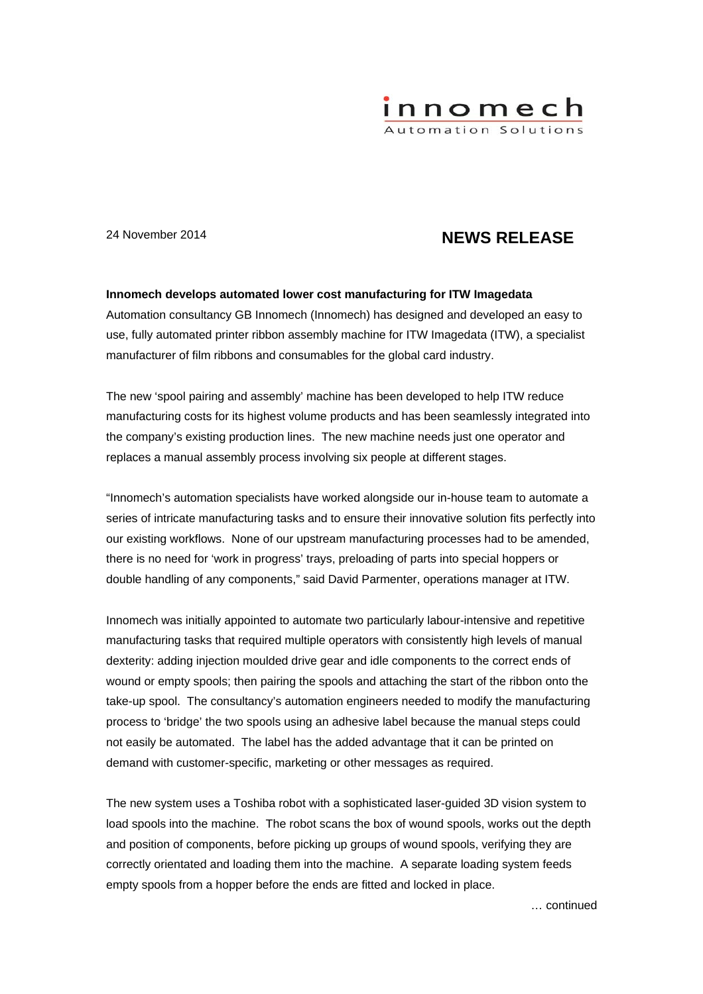

# 24 November 2014 **NEWS RELEASE**

# **Innomech develops automated lower cost manufacturing for ITW Imagedata**

Automation consultancy GB Innomech (Innomech) has designed and developed an easy to use, fully automated printer ribbon assembly machine for ITW Imagedata (ITW), a specialist manufacturer of film ribbons and consumables for the global card industry.

The new 'spool pairing and assembly' machine has been developed to help ITW reduce manufacturing costs for its highest volume products and has been seamlessly integrated into the company's existing production lines. The new machine needs just one operator and replaces a manual assembly process involving six people at different stages.

"Innomech's automation specialists have worked alongside our in-house team to automate a series of intricate manufacturing tasks and to ensure their innovative solution fits perfectly into our existing workflows. None of our upstream manufacturing processes had to be amended, there is no need for 'work in progress' trays, preloading of parts into special hoppers or double handling of any components," said David Parmenter, operations manager at ITW.

Innomech was initially appointed to automate two particularly labour-intensive and repetitive manufacturing tasks that required multiple operators with consistently high levels of manual dexterity: adding injection moulded drive gear and idle components to the correct ends of wound or empty spools; then pairing the spools and attaching the start of the ribbon onto the take-up spool. The consultancy's automation engineers needed to modify the manufacturing process to 'bridge' the two spools using an adhesive label because the manual steps could not easily be automated. The label has the added advantage that it can be printed on demand with customer-specific, marketing or other messages as required.

The new system uses a Toshiba robot with a sophisticated laser-guided 3D vision system to load spools into the machine. The robot scans the box of wound spools, works out the depth and position of components, before picking up groups of wound spools, verifying they are correctly orientated and loading them into the machine. A separate loading system feeds empty spools from a hopper before the ends are fitted and locked in place.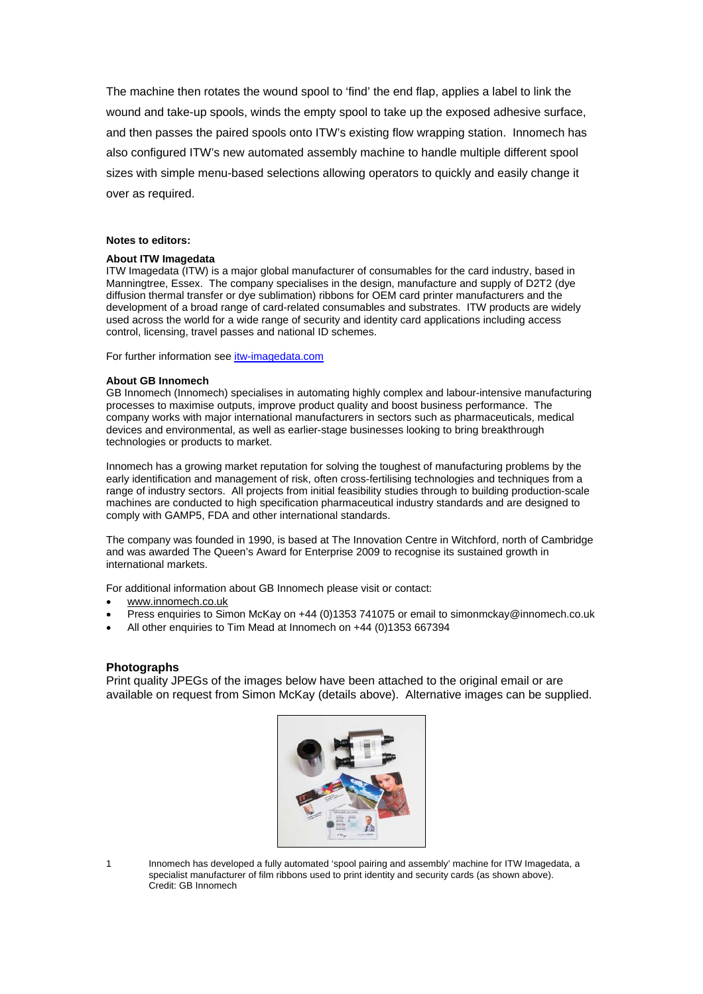The machine then rotates the wound spool to 'find' the end flap, applies a label to link the wound and take-up spools, winds the empty spool to take up the exposed adhesive surface, and then passes the paired spools onto ITW's existing flow wrapping station. Innomech has also configured ITW's new automated assembly machine to handle multiple different spool sizes with simple menu-based selections allowing operators to quickly and easily change it over as required.

## **Notes to editors:**

#### **About ITW Imagedata**

ITW Imagedata (ITW) is a major global manufacturer of consumables for the card industry, based in Manningtree, Essex. The company specialises in the design, manufacture and supply of D2T2 (dye diffusion thermal transfer or dye sublimation) ribbons for OEM card printer manufacturers and the development of a broad range of card-related consumables and substrates. ITW products are widely used across the world for a wide range of security and identity card applications including access control, licensing, travel passes and national ID schemes.

For further information see itw-imagedata.com

#### **About GB Innomech**

GB Innomech (Innomech) specialises in automating highly complex and labour-intensive manufacturing processes to maximise outputs, improve product quality and boost business performance. The company works with major international manufacturers in sectors such as pharmaceuticals, medical devices and environmental, as well as earlier-stage businesses looking to bring breakthrough technologies or products to market.

Innomech has a growing market reputation for solving the toughest of manufacturing problems by the early identification and management of risk, often cross-fertilising technologies and techniques from a range of industry sectors. All projects from initial feasibility studies through to building production-scale machines are conducted to high specification pharmaceutical industry standards and are designed to comply with GAMP5, FDA and other international standards.

The company was founded in 1990, is based at The Innovation Centre in Witchford, north of Cambridge and was awarded The Queen's Award for Enterprise 2009 to recognise its sustained growth in international markets.

For additional information about GB Innomech please visit or contact:

- www.innomech.co.uk
- Press enquiries to Simon McKay on +44 (0)1353 741075 or email to simonmckay@innomech.co.uk
- All other enquiries to Tim Mead at Innomech on +44 (0)1353 667394

## **Photographs**

Print quality JPEGs of the images below have been attached to the original email or are available on request from Simon McKay (details above). Alternative images can be supplied.



1 Innomech has developed a fully automated 'spool pairing and assembly' machine for ITW Imagedata, a specialist manufacturer of film ribbons used to print identity and security cards (as shown above). Credit: GB Innomech